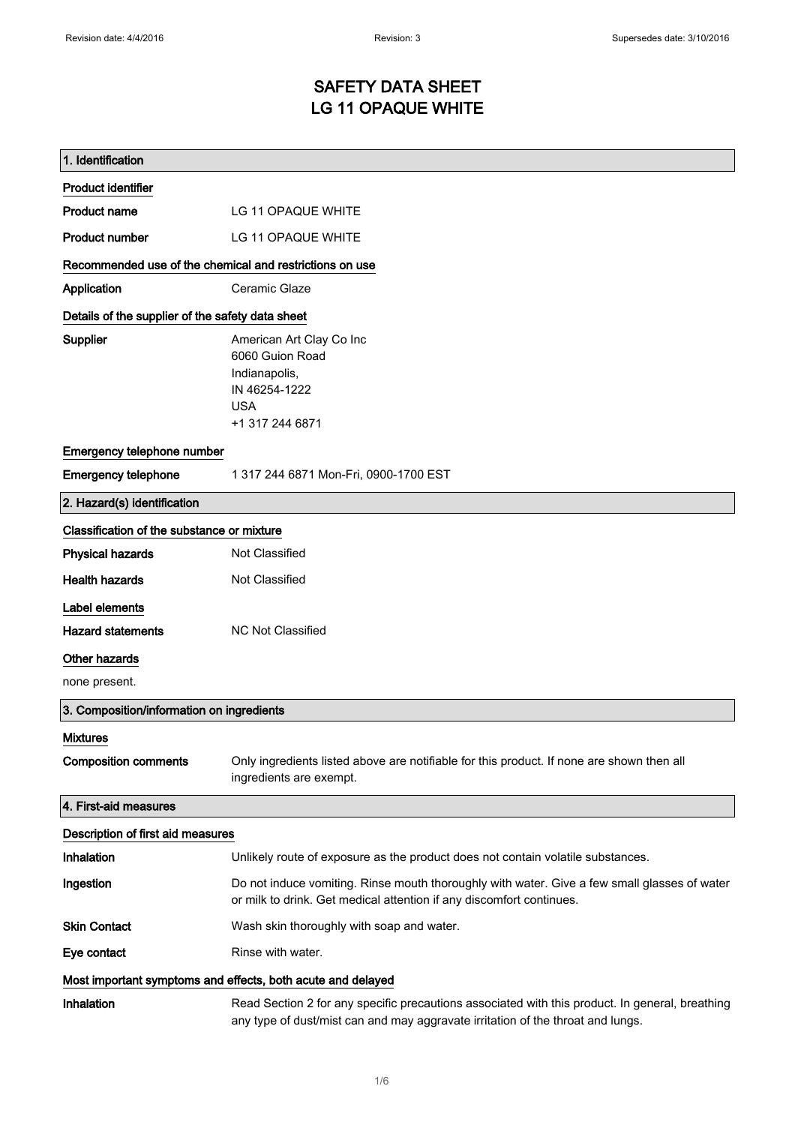# SAFETY DATA SHEET LG 11 OPAQUE WHITE

| 1. Identification                                           |                                                                                                                                                                                    |  |
|-------------------------------------------------------------|------------------------------------------------------------------------------------------------------------------------------------------------------------------------------------|--|
| <b>Product identifier</b>                                   |                                                                                                                                                                                    |  |
| <b>Product name</b>                                         | LG 11 OPAQUE WHITE                                                                                                                                                                 |  |
| <b>Product number</b>                                       | LG 11 OPAQUE WHITE                                                                                                                                                                 |  |
| Recommended use of the chemical and restrictions on use     |                                                                                                                                                                                    |  |
| Application                                                 | Ceramic Glaze                                                                                                                                                                      |  |
| Details of the supplier of the safety data sheet            |                                                                                                                                                                                    |  |
| <b>Supplier</b>                                             | American Art Clay Co Inc                                                                                                                                                           |  |
|                                                             | 6060 Guion Road                                                                                                                                                                    |  |
|                                                             | Indianapolis,<br>IN 46254-1222                                                                                                                                                     |  |
|                                                             | <b>USA</b>                                                                                                                                                                         |  |
|                                                             | +1 317 244 6871                                                                                                                                                                    |  |
| Emergency telephone number                                  |                                                                                                                                                                                    |  |
| <b>Emergency telephone</b>                                  | 1 317 244 6871 Mon-Fri, 0900-1700 EST                                                                                                                                              |  |
| 2. Hazard(s) identification                                 |                                                                                                                                                                                    |  |
| Classification of the substance or mixture                  |                                                                                                                                                                                    |  |
| <b>Physical hazards</b>                                     | Not Classified                                                                                                                                                                     |  |
| <b>Health hazards</b>                                       | Not Classified                                                                                                                                                                     |  |
| Label elements                                              |                                                                                                                                                                                    |  |
| <b>Hazard statements</b>                                    | <b>NC Not Classified</b>                                                                                                                                                           |  |
| Other hazards                                               |                                                                                                                                                                                    |  |
| none present.                                               |                                                                                                                                                                                    |  |
| 3. Composition/information on ingredients                   |                                                                                                                                                                                    |  |
| <b>Mixtures</b>                                             |                                                                                                                                                                                    |  |
| <b>Composition comments</b>                                 | Only ingredients listed above are notifiable for this product. If none are shown then all<br>ingredients are exempt.                                                               |  |
| 4. First-aid measures                                       |                                                                                                                                                                                    |  |
| Description of first aid measures                           |                                                                                                                                                                                    |  |
| Inhalation                                                  | Unlikely route of exposure as the product does not contain volatile substances.                                                                                                    |  |
| Ingestion                                                   | Do not induce vomiting. Rinse mouth thoroughly with water. Give a few small glasses of water<br>or milk to drink. Get medical attention if any discomfort continues.               |  |
| <b>Skin Contact</b>                                         | Wash skin thoroughly with soap and water.                                                                                                                                          |  |
| Eye contact                                                 | Rinse with water.                                                                                                                                                                  |  |
| Most important symptoms and effects, both acute and delayed |                                                                                                                                                                                    |  |
| Inhalation                                                  | Read Section 2 for any specific precautions associated with this product. In general, breathing<br>any type of dust/mist can and may aggravate irritation of the throat and lungs. |  |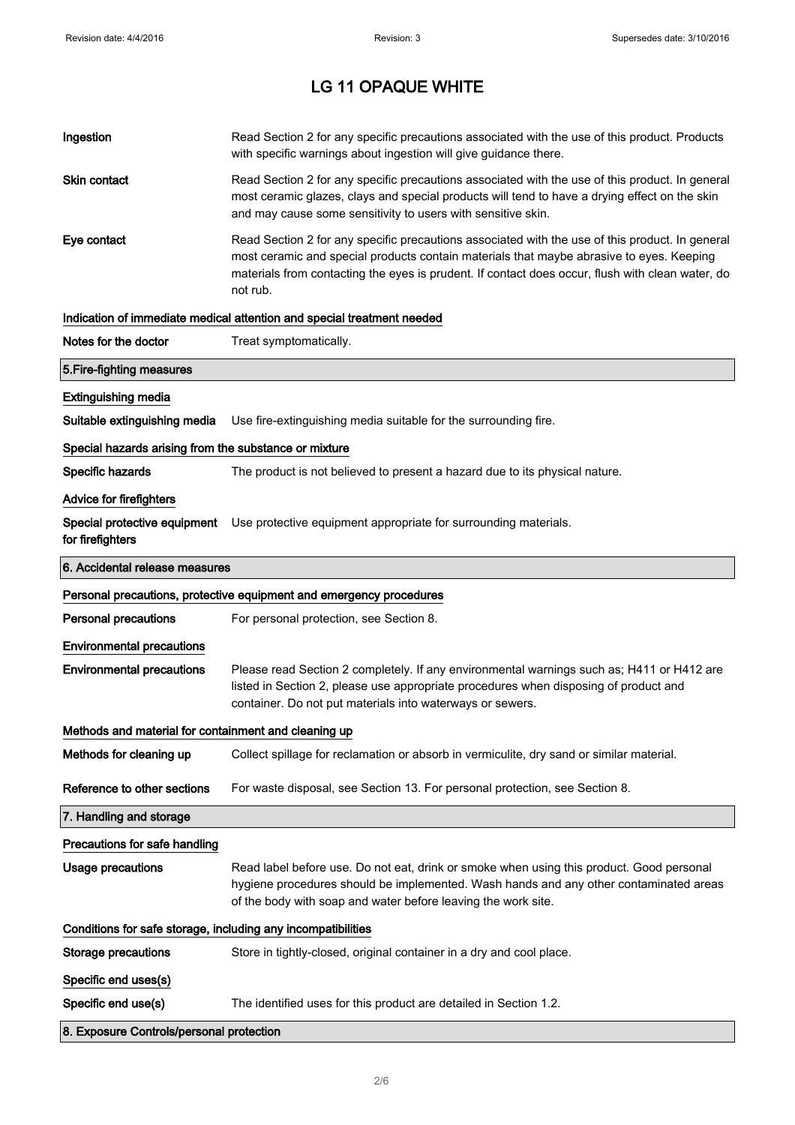| Ingestion                                                    | Read Section 2 for any specific precautions associated with the use of this product. Products<br>with specific warnings about ingestion will give guidance there.                                                                                                                                           |  |
|--------------------------------------------------------------|-------------------------------------------------------------------------------------------------------------------------------------------------------------------------------------------------------------------------------------------------------------------------------------------------------------|--|
| Skin contact                                                 | Read Section 2 for any specific precautions associated with the use of this product. In general<br>most ceramic glazes, clays and special products will tend to have a drying effect on the skin<br>and may cause some sensitivity to users with sensitive skin.                                            |  |
| Eye contact                                                  | Read Section 2 for any specific precautions associated with the use of this product. In general<br>most ceramic and special products contain materials that maybe abrasive to eyes. Keeping<br>materials from contacting the eyes is prudent. If contact does occur, flush with clean water, do<br>not rub. |  |
|                                                              | Indication of immediate medical attention and special treatment needed                                                                                                                                                                                                                                      |  |
| Notes for the doctor                                         | Treat symptomatically.                                                                                                                                                                                                                                                                                      |  |
| 5. Fire-fighting measures                                    |                                                                                                                                                                                                                                                                                                             |  |
| <b>Extinguishing media</b>                                   |                                                                                                                                                                                                                                                                                                             |  |
| Suitable extinguishing media                                 | Use fire-extinguishing media suitable for the surrounding fire.                                                                                                                                                                                                                                             |  |
| Special hazards arising from the substance or mixture        |                                                                                                                                                                                                                                                                                                             |  |
| Specific hazards                                             | The product is not believed to present a hazard due to its physical nature.                                                                                                                                                                                                                                 |  |
| <b>Advice for firefighters</b>                               |                                                                                                                                                                                                                                                                                                             |  |
| for firefighters                                             | Special protective equipment Use protective equipment appropriate for surrounding materials.                                                                                                                                                                                                                |  |
| 6. Accidental release measures                               |                                                                                                                                                                                                                                                                                                             |  |
|                                                              | Personal precautions, protective equipment and emergency procedures                                                                                                                                                                                                                                         |  |
| <b>Personal precautions</b>                                  | For personal protection, see Section 8.                                                                                                                                                                                                                                                                     |  |
| <b>Environmental precautions</b>                             |                                                                                                                                                                                                                                                                                                             |  |
| <b>Environmental precautions</b>                             | Please read Section 2 completely. If any environmental warnings such as; H411 or H412 are<br>listed in Section 2, please use appropriate procedures when disposing of product and<br>container. Do not put materials into waterways or sewers.                                                              |  |
| Methods and material for containment and cleaning up         |                                                                                                                                                                                                                                                                                                             |  |
| Methods for cleaning up                                      |                                                                                                                                                                                                                                                                                                             |  |
|                                                              | Collect spillage for reclamation or absorb in vermiculite, dry sand or similar material.                                                                                                                                                                                                                    |  |
| Reference to other sections                                  | For waste disposal, see Section 13. For personal protection, see Section 8.                                                                                                                                                                                                                                 |  |
| 7. Handling and storage                                      |                                                                                                                                                                                                                                                                                                             |  |
| Precautions for safe handling                                |                                                                                                                                                                                                                                                                                                             |  |
| Usage precautions                                            | Read label before use. Do not eat, drink or smoke when using this product. Good personal<br>hygiene procedures should be implemented. Wash hands and any other contaminated areas<br>of the body with soap and water before leaving the work site.                                                          |  |
| Conditions for safe storage, including any incompatibilities |                                                                                                                                                                                                                                                                                                             |  |
| <b>Storage precautions</b>                                   | Store in tightly-closed, original container in a dry and cool place.                                                                                                                                                                                                                                        |  |
| Specific end uses(s)                                         |                                                                                                                                                                                                                                                                                                             |  |
| Specific end use(s)                                          | The identified uses for this product are detailed in Section 1.2.                                                                                                                                                                                                                                           |  |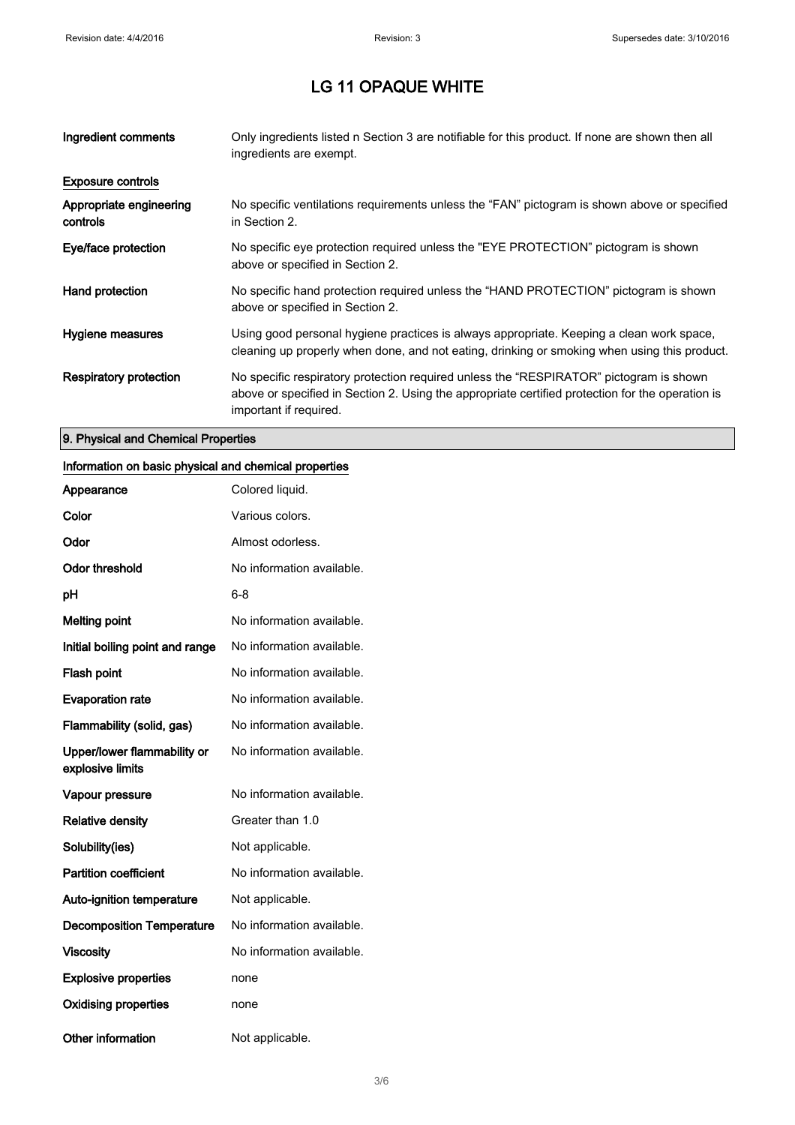| Ingredient comments                 | Only ingredients listed n Section 3 are notifiable for this product. If none are shown then all<br>ingredients are exempt.                                                                                           |
|-------------------------------------|----------------------------------------------------------------------------------------------------------------------------------------------------------------------------------------------------------------------|
| <b>Exposure controls</b>            |                                                                                                                                                                                                                      |
| Appropriate engineering<br>controls | No specific ventilations requirements unless the "FAN" pictogram is shown above or specified<br>in Section 2.                                                                                                        |
| Eye/face protection                 | No specific eye protection required unless the "EYE PROTECTION" pictogram is shown<br>above or specified in Section 2.                                                                                               |
| Hand protection                     | No specific hand protection required unless the "HAND PROTECTION" pictogram is shown<br>above or specified in Section 2.                                                                                             |
| Hygiene measures                    | Using good personal hygiene practices is always appropriate. Keeping a clean work space,<br>cleaning up properly when done, and not eating, drinking or smoking when using this product.                             |
| Respiratory protection              | No specific respiratory protection required unless the "RESPIRATOR" pictogram is shown<br>above or specified in Section 2. Using the appropriate certified protection for the operation is<br>important if required. |

### 9. Physical and Chemical Properties

#### Information on basic physical and chemical properties

| Appearance                                      | Colored liquid.           |
|-------------------------------------------------|---------------------------|
| Color                                           | Various colors.           |
| Odor                                            | Almost odorless.          |
| <b>Odor threshold</b>                           | No information available. |
| рH                                              | 6-8                       |
| <b>Melting point</b>                            | No information available. |
| Initial boiling point and range                 | No information available. |
| Flash point                                     | No information available. |
| <b>Evaporation rate</b>                         | No information available. |
| Flammability (solid, gas)                       | No information available. |
| Upper/lower flammability or<br>explosive limits | No information available. |
| Vapour pressure                                 | No information available. |
| <b>Relative density</b>                         | Greater than 1.0          |
| Solubility(ies)                                 | Not applicable.           |
| <b>Partition coefficient</b>                    | No information available. |
| <b>Auto-ignition temperature</b>                | Not applicable.           |
| <b>Decomposition Temperature</b>                | No information available. |
| <b>Viscosity</b>                                | No information available. |
| <b>Explosive properties</b>                     | none                      |
| <b>Oxidising properties</b>                     | none                      |
| Other information                               | Not applicable.           |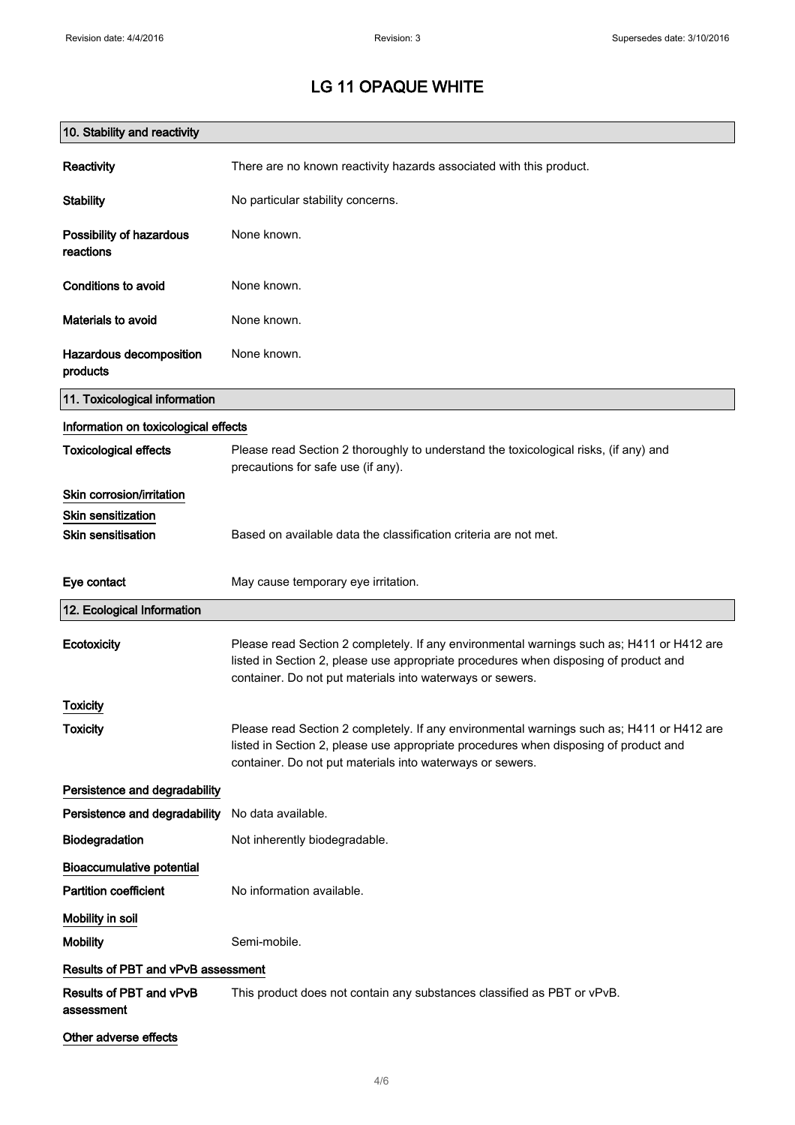| 10. Stability and reactivity          |                                                                                                                                                                                                                                                |
|---------------------------------------|------------------------------------------------------------------------------------------------------------------------------------------------------------------------------------------------------------------------------------------------|
| Reactivity                            | There are no known reactivity hazards associated with this product.                                                                                                                                                                            |
| <b>Stability</b>                      | No particular stability concerns.                                                                                                                                                                                                              |
| Possibility of hazardous<br>reactions | None known.                                                                                                                                                                                                                                    |
| Conditions to avoid                   | None known.                                                                                                                                                                                                                                    |
| Materials to avoid                    | None known.                                                                                                                                                                                                                                    |
| Hazardous decomposition<br>products   | None known.                                                                                                                                                                                                                                    |
| 11. Toxicological information         |                                                                                                                                                                                                                                                |
| Information on toxicological effects  |                                                                                                                                                                                                                                                |
| <b>Toxicological effects</b>          | Please read Section 2 thoroughly to understand the toxicological risks, (if any) and<br>precautions for safe use (if any).                                                                                                                     |
| Skin corrosion/irritation             |                                                                                                                                                                                                                                                |
| <b>Skin sensitization</b>             |                                                                                                                                                                                                                                                |
| <b>Skin sensitisation</b>             | Based on available data the classification criteria are not met.                                                                                                                                                                               |
| Eye contact                           | May cause temporary eye irritation.                                                                                                                                                                                                            |
| 12. Ecological Information            |                                                                                                                                                                                                                                                |
| Ecotoxicity                           | Please read Section 2 completely. If any environmental warnings such as; H411 or H412 are<br>listed in Section 2, please use appropriate procedures when disposing of product and<br>container. Do not put materials into waterways or sewers. |
| <b>Toxicity</b>                       |                                                                                                                                                                                                                                                |
| <b>Toxicity</b>                       | Please read Section 2 completely. If any environmental warnings such as; H411 or H412 are<br>listed in Section 2, please use appropriate procedures when disposing of product and<br>container. Do not put materials into waterways or sewers. |
| Persistence and degradability         |                                                                                                                                                                                                                                                |
| Persistence and degradability         | No data available.                                                                                                                                                                                                                             |
| Biodegradation                        | Not inherently biodegradable.                                                                                                                                                                                                                  |
| <b>Bioaccumulative potential</b>      |                                                                                                                                                                                                                                                |
| <b>Partition coefficient</b>          | No information available.                                                                                                                                                                                                                      |
| Mobility in soil                      |                                                                                                                                                                                                                                                |
| <b>Mobility</b>                       | Semi-mobile.                                                                                                                                                                                                                                   |
| Results of PBT and vPvB assessment    |                                                                                                                                                                                                                                                |
| Results of PBT and vPvB<br>assessment | This product does not contain any substances classified as PBT or vPvB.                                                                                                                                                                        |
| Other adverse effects                 |                                                                                                                                                                                                                                                |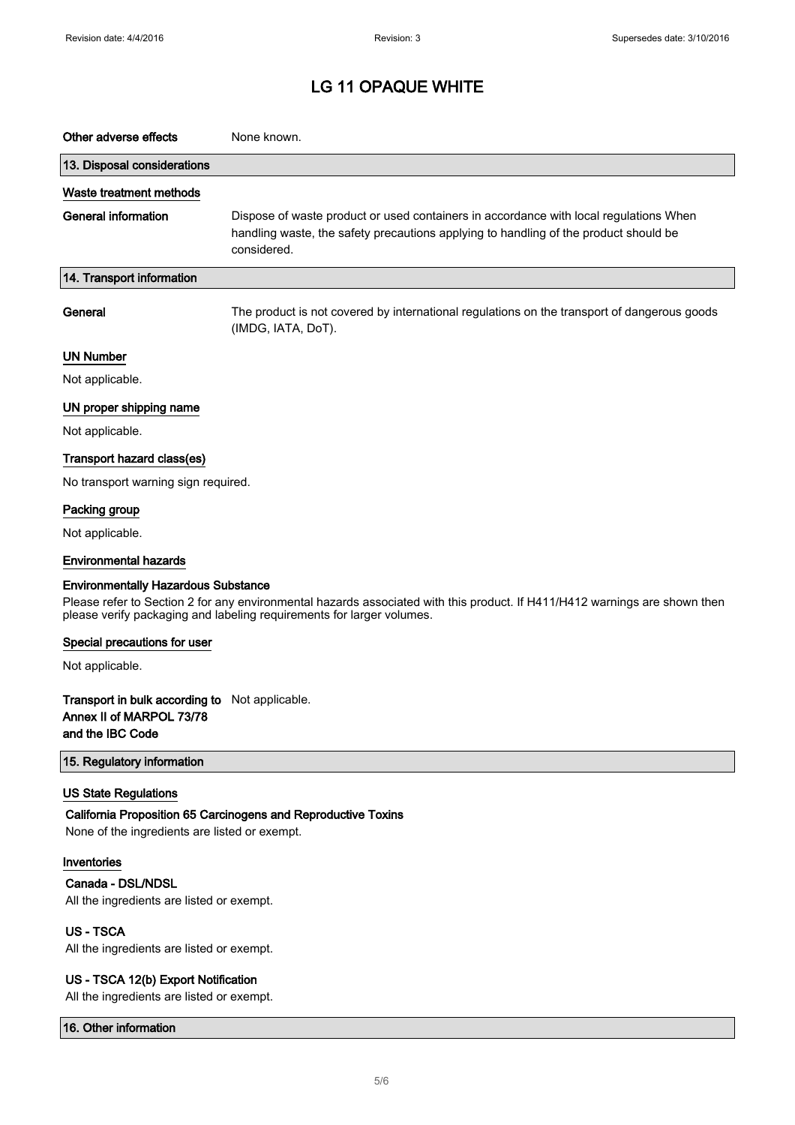| Other adverse effects                                                                                                                                                                                                                             | None known.                                                                                                                                                                                  |  |
|---------------------------------------------------------------------------------------------------------------------------------------------------------------------------------------------------------------------------------------------------|----------------------------------------------------------------------------------------------------------------------------------------------------------------------------------------------|--|
| 13. Disposal considerations                                                                                                                                                                                                                       |                                                                                                                                                                                              |  |
| Waste treatment methods                                                                                                                                                                                                                           |                                                                                                                                                                                              |  |
| <b>General information</b>                                                                                                                                                                                                                        | Dispose of waste product or used containers in accordance with local regulations When<br>handling waste, the safety precautions applying to handling of the product should be<br>considered. |  |
| 14. Transport information                                                                                                                                                                                                                         |                                                                                                                                                                                              |  |
| General                                                                                                                                                                                                                                           | The product is not covered by international regulations on the transport of dangerous goods<br>(IMDG, IATA, DoT).                                                                            |  |
| <b>UN Number</b>                                                                                                                                                                                                                                  |                                                                                                                                                                                              |  |
| Not applicable.                                                                                                                                                                                                                                   |                                                                                                                                                                                              |  |
| UN proper shipping name                                                                                                                                                                                                                           |                                                                                                                                                                                              |  |
| Not applicable.                                                                                                                                                                                                                                   |                                                                                                                                                                                              |  |
| Transport hazard class(es)                                                                                                                                                                                                                        |                                                                                                                                                                                              |  |
| No transport warning sign required.                                                                                                                                                                                                               |                                                                                                                                                                                              |  |
| Packing group                                                                                                                                                                                                                                     |                                                                                                                                                                                              |  |
| Not applicable.                                                                                                                                                                                                                                   |                                                                                                                                                                                              |  |
| <b>Environmental hazards</b>                                                                                                                                                                                                                      |                                                                                                                                                                                              |  |
| <b>Environmentally Hazardous Substance</b><br>Please refer to Section 2 for any environmental hazards associated with this product. If H411/H412 warnings are shown then<br>please verify packaging and labeling requirements for larger volumes. |                                                                                                                                                                                              |  |
| Special precautions for user                                                                                                                                                                                                                      |                                                                                                                                                                                              |  |
| Not applicable.                                                                                                                                                                                                                                   |                                                                                                                                                                                              |  |
| Transport in bulk according to Not applicable.<br>Annex II of MARPOL 73/78<br>and the IBC Code                                                                                                                                                    |                                                                                                                                                                                              |  |
| 15. Regulatory information                                                                                                                                                                                                                        |                                                                                                                                                                                              |  |
| <b>US State Regulations</b><br>None of the ingredients are listed or exempt.                                                                                                                                                                      | California Proposition 65 Carcinogens and Reproductive Toxins                                                                                                                                |  |
| Inventories<br>Canada - DSL/NDSL<br>All the ingredients are listed or exempt.                                                                                                                                                                     |                                                                                                                                                                                              |  |
| <b>US-TSCA</b><br>All the ingredients are listed or exempt.                                                                                                                                                                                       |                                                                                                                                                                                              |  |
| US - TSCA 12(b) Export Notification                                                                                                                                                                                                               |                                                                                                                                                                                              |  |

All the ingredients are listed or exempt.

16. Other information